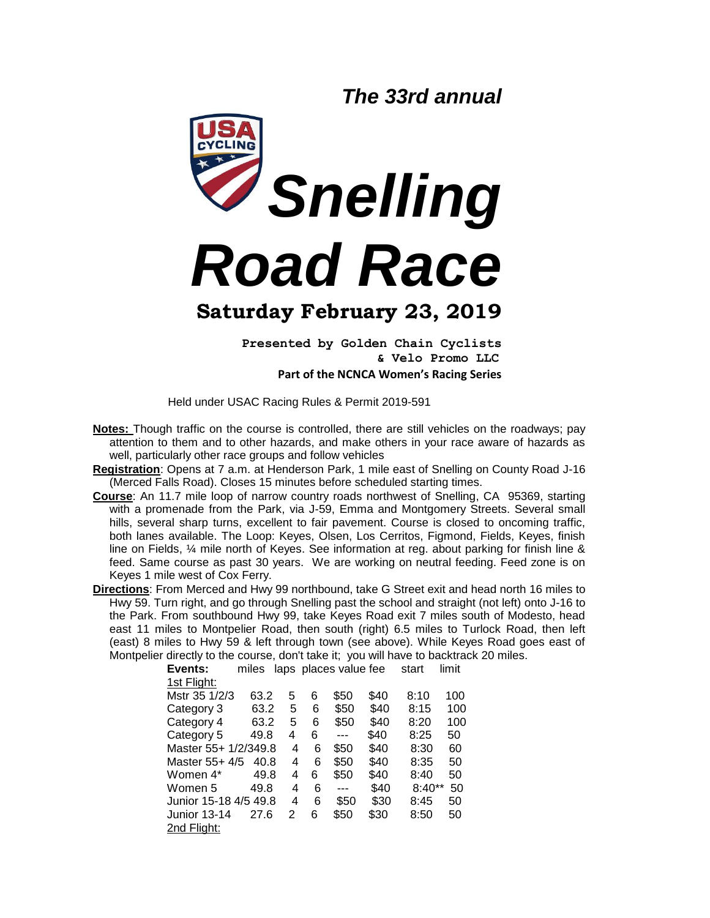*The 33rd annual*



**Presented by Golden Chain Cyclists & Velo Promo LLC Part of the NCNCA Women's Racing Series**

Held under USAC Racing Rules & Permit 2019-591

- **Notes:** Though traffic on the course is controlled, there are still vehicles on the roadways; pay attention to them and to other hazards, and make others in your race aware of hazards as well, particularly other race groups and follow vehicles
- **Registration**: Opens at 7 a.m. at Henderson Park, 1 mile east of Snelling on County Road J-16 (Merced Falls Road). Closes 15 minutes before scheduled starting times.
- **Course**: An 11.7 mile loop of narrow country roads northwest of Snelling, CA 95369, starting with a promenade from the Park, via J-59, Emma and Montgomery Streets. Several small hills, several sharp turns, excellent to fair pavement. Course is closed to oncoming traffic, both lanes available. The Loop: Keyes, Olsen, Los Cerritos, Figmond, Fields, Keyes, finish line on Fields, 1/4 mile north of Keyes. See information at reg. about parking for finish line & feed. Same course as past 30 years. We are working on neutral feeding. Feed zone is on Keyes 1 mile west of Cox Ferry.
- **Directions**: From Merced and Hwy 99 northbound, take G Street exit and head north 16 miles to Hwy 59. Turn right, and go through Snelling past the school and straight (not left) onto J-16 to the Park. From southbound Hwy 99, take Keyes Road exit 7 miles south of Modesto, head east 11 miles to Montpelier Road, then south (right) 6.5 miles to Turlock Road, then left (east) 8 miles to Hwy 59 & left through town (see above). While Keyes Road goes east of Montpelier directly to the course, don't take it; you will have to backtrack 20 miles.

| Events:               | miles |   |   | laps places value fee |      | start    | limit |
|-----------------------|-------|---|---|-----------------------|------|----------|-------|
| 1st Flight:           |       |   |   |                       |      |          |       |
| Mstr 35 1/2/3         | 63.2  | 5 | 6 | \$50                  | \$40 | 8:10     | 100   |
| Category 3            | 63.2  | 5 | 6 | \$50                  | \$40 | 8:15     | 100   |
| Category 4            | 63.2  | 5 | 6 | \$50                  | \$40 | 8:20     | 100   |
| Category 5            | 49.8  | 4 | 6 | ---                   | \$40 | 8:25     | 50    |
| Master 55+ 1/2/349.8  |       | 4 | 6 | \$50                  | \$40 | 8:30     | 60    |
| Master 55+ 4/5        | 40.8  | 4 | 6 | \$50                  | \$40 | 8:35     | 50    |
| Women 4*              | 49.8  | 4 | 6 | \$50                  | \$40 | 8:40     | 50    |
| Women 5               | 49.8  | 4 | 6 |                       | \$40 | $8:40**$ | 50    |
| Junior 15-18 4/5 49.8 |       | 4 | 6 | \$50                  | \$30 | 8:45     | 50    |
| <b>Junior 13-14</b>   | 27.6  | 2 | 6 | \$50                  | \$30 | 8:50     | 50    |
| 2nd Flight:           |       |   |   |                       |      |          |       |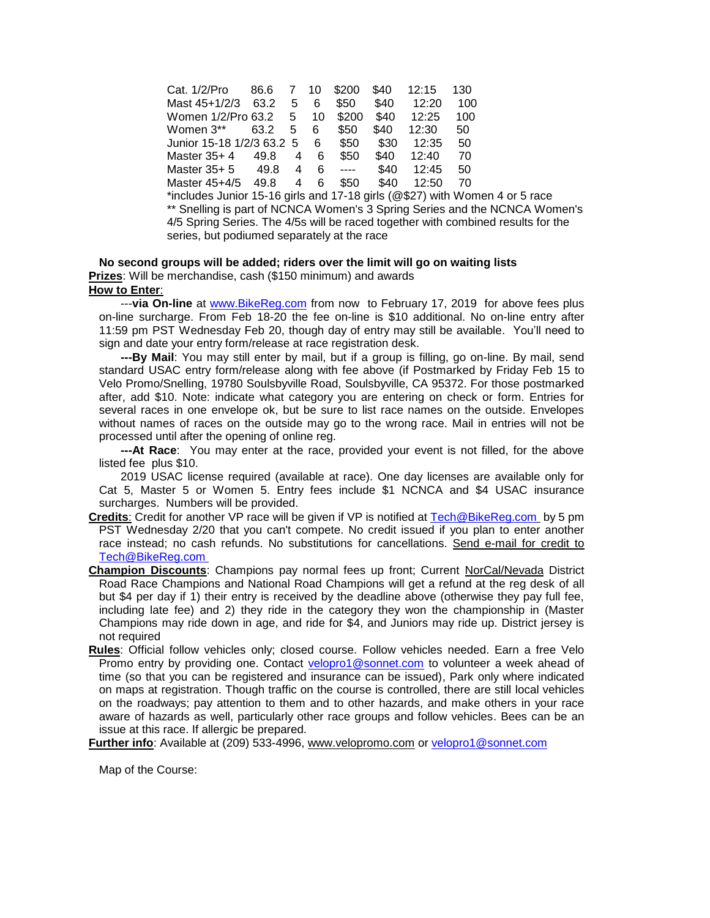Cat. 1/2/Pro 86.6 7 10 \$200 \$40 12:15 130 Mast 45+1/2/3 63.2 5 6 \$50 \$40 12:20 100 Women 1/2/Pro 63.2 5 10 \$200 \$40 12:25 100 Women 3\*\* 63.2 5 6 \$50 \$40 12:30 50 Junior 15-18 1/2/3 63.2 5 6 \$50 \$30 12:35 50 Master 35+ 4 49.8 4 6 \$50 \$40 12:40 70 Master 35+ 5 49.8 4 6 ---- \$40 12:45 50 Master 45+4/5 49.8 4 6 \$50 \$40 12:50 70 \*includes Junior 15-16 girls and 17-18 girls (@\$27) with Women 4 or 5 race \*\* Snelling is part of NCNCA Women's 3 Spring Series and the NCNCA Women's 4/5 Spring Series. The 4/5s will be raced together with combined results for the series, but podiumed separately at the race

## **No second groups will be added; riders over the limit will go on waiting lists Prizes**: Will be merchandise, cash (\$150 minimum) and awards **How to Enter**:

 ---**via On-line** at [www.BikeReg.com](http://www.bikereg.com/) from now to February 17, 2019 for above fees plus on-line surcharge. From Feb 18-20 the fee on-line is \$10 additional. No on-line entry after 11:59 pm PST Wednesday Feb 20, though day of entry may still be available. You'll need to sign and date your entry form/release at race registration desk.

 **---By Mail**: You may still enter by mail, but if a group is filling, go on-line. By mail, send standard USAC entry form/release along with fee above (if Postmarked by Friday Feb 15 to Velo Promo/Snelling, 19780 Soulsbyville Road, Soulsbyville, CA 95372. For those postmarked after, add \$10. Note: indicate what category you are entering on check or form. Entries for several races in one envelope ok, but be sure to list race names on the outside. Envelopes without names of races on the outside may go to the wrong race. Mail in entries will not be processed until after the opening of online reg.

 **---At Race**: You may enter at the race, provided your event is not filled, for the above listed fee plus \$10.

 2019 USAC license required (available at race). One day licenses are available only for Cat 5, Master 5 or Women 5. Entry fees include \$1 NCNCA and \$4 USAC insurance surcharges. Numbers will be provided.

- **Credits**: Credit for another VP race will be given if VP is notified at [Tech@BikeReg.com](mailto:Tech@BikeReg.com) by 5 pm PST Wednesday 2/20 that you can't compete. No credit issued if you plan to enter another race instead; no cash refunds. No substitutions for cancellations. Send e-mail for credit to [Tech@BikeReg.com](mailto:Tech@BikeReg.com)
- **Champion Discounts**: Champions pay normal fees up front; Current NorCal/Nevada District Road Race Champions and National Road Champions will get a refund at the reg desk of all but \$4 per day if 1) their entry is received by the deadline above (otherwise they pay full fee, including late fee) and 2) they ride in the category they won the championship in (Master Champions may ride down in age, and ride for \$4, and Juniors may ride up. District jersey is not required
- **Rules**: Official follow vehicles only; closed course. Follow vehicles needed. Earn a free Velo Promo entry by providing one. Contact [velopro1@sonnet.com](mailto:velopro1@sonnet.com) to volunteer a week ahead of time (so that you can be registered and insurance can be issued), Park only where indicated on maps at registration. Though traffic on the course is controlled, there are still local vehicles on the roadways; pay attention to them and to other hazards, and make others in your race aware of hazards as well, particularly other race groups and follow vehicles. Bees can be an issue at this race. If allergic be prepared.

**Further info**: Available at (209) 533-4996, [www.velopromo.com](mailto:velopro1@sonnet.com) or [velopro1@sonnet.com](mailto:velopro1@sonnet.com)

Map of the Course: